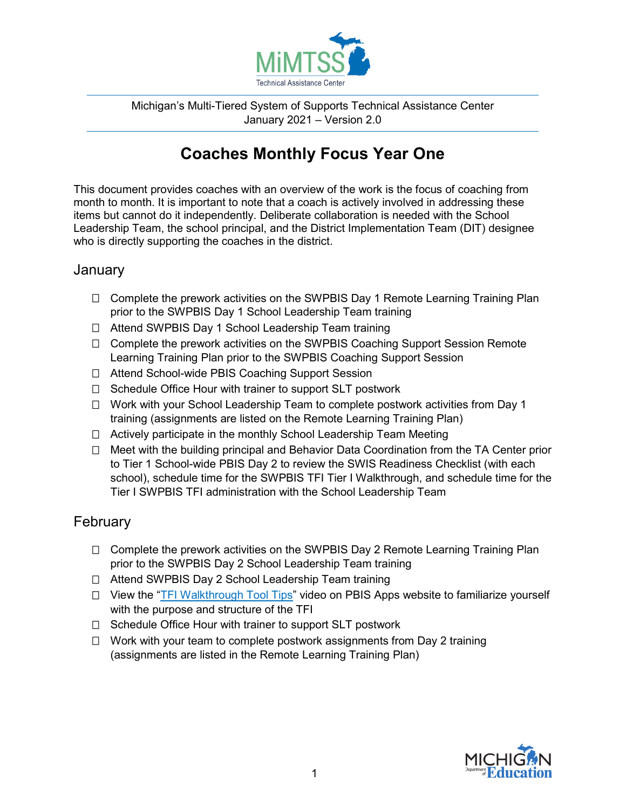

Michigan's Multi-Tiered System of Supports Technical Assistance Center January 2021 – Version 2.0

# **Coaches Monthly Focus Year One**

This document provides coaches with an overview of the work is the focus of coaching from month to month. It is important to note that a coach is actively involved in addressing these items but cannot do it independently. Deliberate collaboration is needed with the School Leadership Team, the school principal, and the District Implementation Team (DIT) designee who is directly supporting the coaches in the district.

#### **January**

- □ Complete the prework activities on the SWPBIS Day 1 Remote Learning Training Plan prior to the SWPBIS Day 1 School Leadership Team training
- □ Attend SWPBIS Day 1 School Leadership Team training
- □ Complete the prework activities on the SWPBIS Coaching Support Session Remote Learning Training Plan prior to the SWPBIS Coaching Support Session
- □ Attend School-wide PBIS Coaching Support Session
- $\Box$  Schedule Office Hour with trainer to support SLT postwork
- □ Work with your School Leadership Team to complete postwork activities from Day 1 training (assignments are listed on the Remote Learning Training Plan)
- $\Box$  Actively participate in the monthly School Leadership Team Meeting
- □ Meet with the building principal and Behavior Data Coordination from the TA Center prior to Tier 1 School-wide PBIS Day 2 to review the SWIS Readiness Checklist (with each school), schedule time for the SWPBIS TFI Tier I Walkthrough, and schedule time for the Tier I SWPBIS TFI administration with the School Leadership Team

# **February**

- □ Complete the prework activities on the SWPBIS Day 2 Remote Learning Training Plan prior to the SWPBIS Day 2 School Leadership Team training
- □ Attend SWPBIS Day 2 School Leadership Team training
- $\Box$  View the ["TFI Walkthrough Tool Tips"](https://www.pbisapps.org/resource/tfi-walkthrough-tool-tips) video on PBIS Apps website to familiarize yourself with the purpose and structure of the TFI
- $\Box$  Schedule Office Hour with trainer to support SLT postwork
- $\Box$  Work with your team to complete postwork assignments from Day 2 training (assignments are listed in the Remote Learning Training Plan)

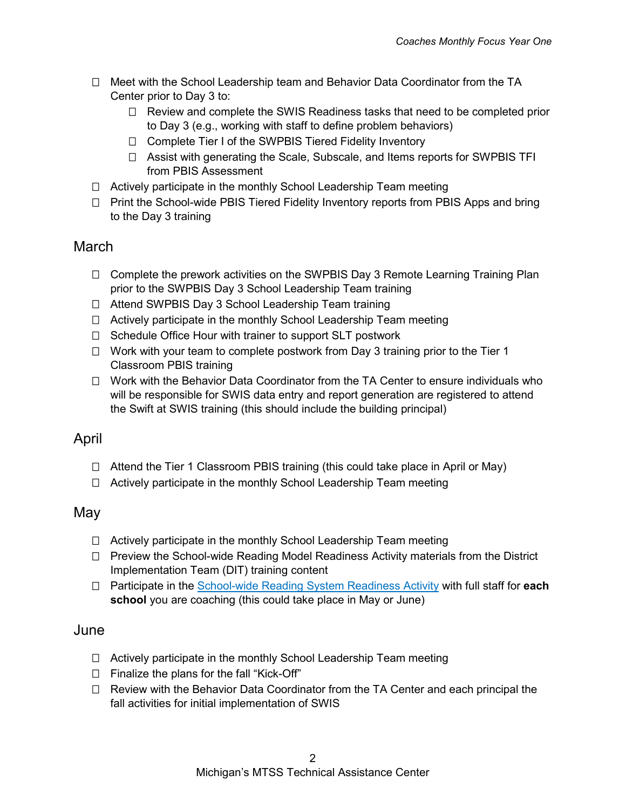- $\Box$  Meet with the School Leadership team and Behavior Data Coordinator from the TA Center prior to Day 3 to:
	- $\Box$  Review and complete the SWIS Readiness tasks that need to be completed prior to Day 3 (e.g., working with staff to define problem behaviors)
	- □ Complete Tier I of the SWPBIS Tiered Fidelity Inventory
	- Assist with generating the Scale, Subscale, and Items reports for SWPBIS TFI from PBIS Assessment
- $\Box$  Actively participate in the monthly School Leadership Team meeting
- $\Box$  Print the School-wide PBIS Tiered Fidelity Inventory reports from PBIS Apps and bring to the Day 3 training

## March

- $\Box$  Complete the prework activities on the SWPBIS Day 3 Remote Learning Training Plan prior to the SWPBIS Day 3 School Leadership Team training
- □ Attend SWPBIS Day 3 School Leadership Team training
- $\Box$  Actively participate in the monthly School Leadership Team meeting
- $\Box$  Schedule Office Hour with trainer to support SLT postwork
- $\Box$  Work with your team to complete postwork from Day 3 training prior to the Tier 1 Classroom PBIS training
- $\Box$  Work with the Behavior Data Coordinator from the TA Center to ensure individuals who will be responsible for SWIS data entry and report generation are registered to attend the Swift at SWIS training (this should include the building principal)

### April

- $\Box$  Attend the Tier 1 Classroom PBIS training (this could take place in April or May)
- $\Box$  Actively participate in the monthly School Leadership Team meeting

### May

- $\Box$  Actively participate in the monthly School Leadership Team meeting
- $\Box$  Preview the School-wide Reading Model Readiness Activity materials from the District Implementation Team (DIT) training content
- □ Participate in the [School-wide Reading System Readiness Activity](https://mimtsstac.org/training-materials/integrated-mtss/school-wide-reading-systems-readiness) with full staff for **each school** you are coaching (this could take place in May or June)

#### June

- $\Box$  Actively participate in the monthly School Leadership Team meeting
- $\Box$  Finalize the plans for the fall "Kick-Off"
- $\Box$  Review with the Behavior Data Coordinator from the TA Center and each principal the fall activities for initial implementation of SWIS